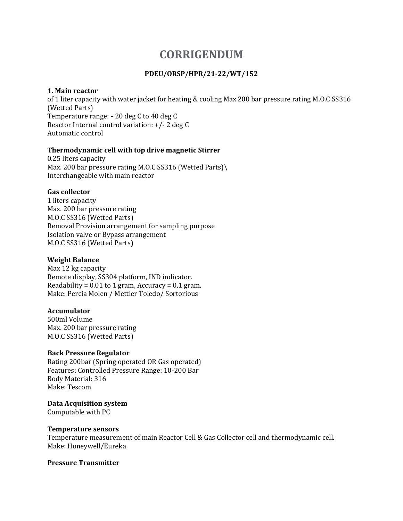# **CORRIGENDUM**

# **PDEU/ORSP/HPR/21-22/WT/152**

#### **1. Main reactor**

of 1 liter capacity with water jacket for heating & cooling Max.200 bar pressure rating M.O.C SS316 (Wetted Parts) Temperature range: - 20 deg C to 40 deg C Reactor Internal control variation: +/- 2 deg C Automatic control

# **Thermodynamic cell with top drive magnetic Stirrer**

0.25 liters capacity Max. 200 bar pressure rating M.O.C SS316 (Wetted Parts)\ Interchangeable with main reactor

# **Gas collector**

1 liters capacity Max. 200 bar pressure rating M.O.C SS316 (Wetted Parts) Removal Provision arrangement for sampling purpose Isolation valve or Bypass arrangement M.O.C SS316 (Wetted Parts)

# **Weight Balance**

Max 12 kg capacity Remote display, SS304 platform, IND indicator. Readability =  $0.01$  to 1 gram, Accuracy =  $0.1$  gram. Make: Percia Molen / Mettler Toledo/ Sortorious

# **Accumulator**

500ml Volume Max. 200 bar pressure rating M.O.C SS316 (Wetted Parts)

#### **Back Pressure Regulator**

Rating 200bar (Spring operated OR Gas operated) Features: Controlled Pressure Range: 10-200 Bar Body Material: 316 Make: Tescom

#### **Data Acquisition system**

Computable with PC

#### **Temperature sensors**

Temperature measurement of main Reactor Cell & Gas Collector cell and thermodynamic cell. Make: Honeywell/Eureka

#### **Pressure Transmitter**